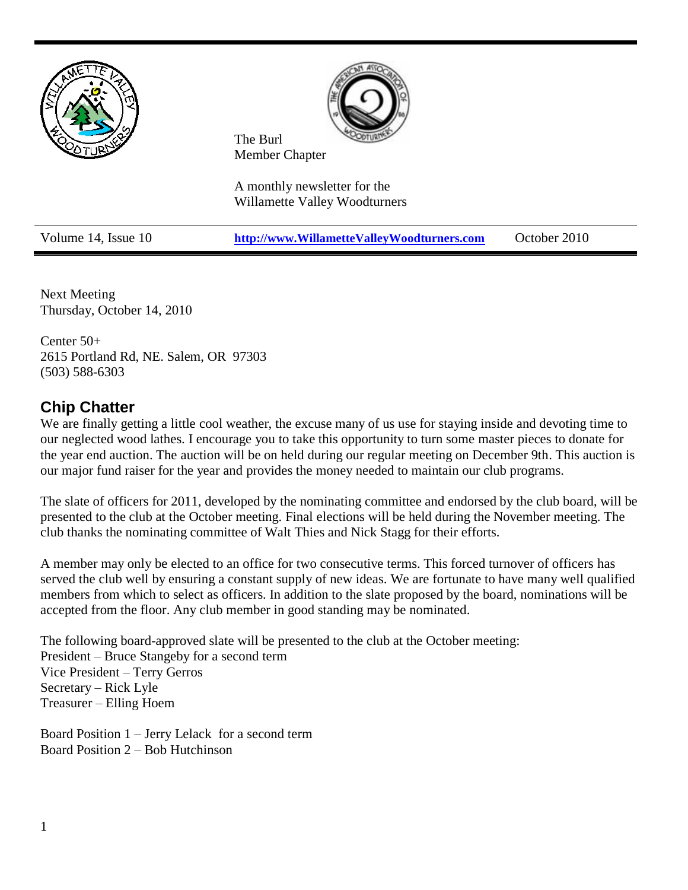

Next Meeting Thursday, October 14, 2010

Center 50+ 2615 Portland Rd, NE. Salem, OR 97303 (503) 588-6303

# **Chip Chatter**

We are finally getting a little cool weather, the excuse many of us use for staying inside and devoting time to our neglected wood lathes. I encourage you to take this opportunity to turn some master pieces to donate for the year end auction. The auction will be on held during our regular meeting on December 9th. This auction is our major fund raiser for the year and provides the money needed to maintain our club programs.

The slate of officers for 2011, developed by the nominating committee and endorsed by the club board, will be presented to the club at the October meeting. Final elections will be held during the November meeting. The club thanks the nominating committee of Walt Thies and Nick Stagg for their efforts.

A member may only be elected to an office for two consecutive terms. This forced turnover of officers has served the club well by ensuring a constant supply of new ideas. We are fortunate to have many well qualified members from which to select as officers. In addition to the slate proposed by the board, nominations will be accepted from the floor. Any club member in good standing may be nominated.

The following board-approved slate will be presented to the club at the October meeting: President – Bruce Stangeby for a second term Vice President – Terry Gerros Secretary – Rick Lyle Treasurer – Elling Hoem

Board Position 1 – Jerry Lelack for a second term Board Position 2 – Bob Hutchinson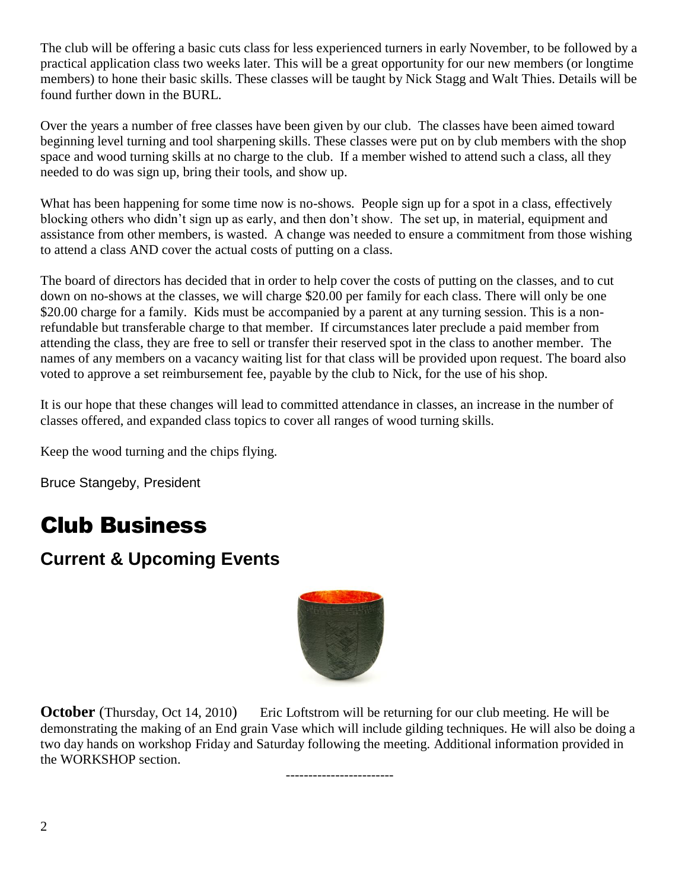The club will be offering a basic cuts class for less experienced turners in early November, to be followed by a practical application class two weeks later. This will be a great opportunity for our new members (or longtime members) to hone their basic skills. These classes will be taught by Nick Stagg and Walt Thies. Details will be found further down in the BURL.

Over the years a number of free classes have been given by our club. The classes have been aimed toward beginning level turning and tool sharpening skills. These classes were put on by club members with the shop space and wood turning skills at no charge to the club. If a member wished to attend such a class, all they needed to do was sign up, bring their tools, and show up.

What has been happening for some time now is no-shows. People sign up for a spot in a class, effectively blocking others who didn't sign up as early, and then don't show. The set up, in material, equipment and assistance from other members, is wasted. A change was needed to ensure a commitment from those wishing to attend a class AND cover the actual costs of putting on a class.

The board of directors has decided that in order to help cover the costs of putting on the classes, and to cut down on no-shows at the classes, we will charge \$20.00 per family for each class. There will only be one \$20.00 charge for a family. Kids must be accompanied by a parent at any turning session. This is a nonrefundable but transferable charge to that member. If circumstances later preclude a paid member from attending the class, they are free to sell or transfer their reserved spot in the class to another member. The names of any members on a vacancy waiting list for that class will be provided upon request. The board also voted to approve a set reimbursement fee, payable by the club to Nick, for the use of his shop.

It is our hope that these changes will lead to committed attendance in classes, an increase in the number of classes offered, and expanded class topics to cover all ranges of wood turning skills.

Keep the wood turning and the chips flying.

Bruce Stangeby, President

# Club Business

# **Current & Upcoming Events**



**October** (Thursday, Oct 14, 2010) Eric Loftstrom will be returning for our club meeting. He will be demonstrating the making of an End grain Vase which will include gilding techniques. He will also be doing a two day hands on workshop Friday and Saturday following the meeting. Additional information provided in the WORKSHOP section.

------------------------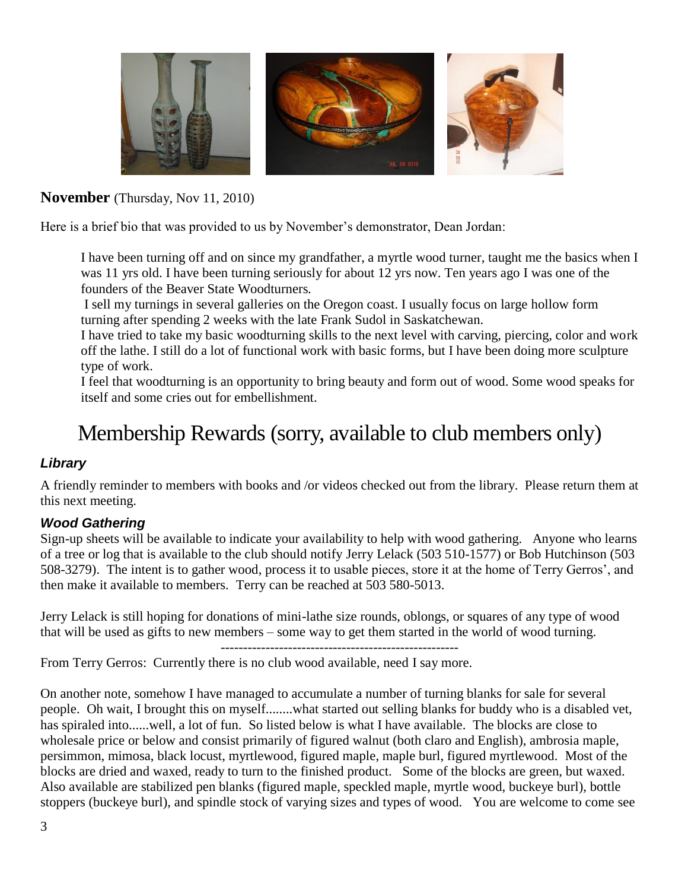

## **November** (Thursday, Nov 11, 2010)

Here is a brief bio that was provided to us by November's demonstrator, Dean Jordan:

I have been turning off and on since my grandfather, a myrtle wood turner, taught me the basics when I was 11 yrs old. I have been turning seriously for about 12 yrs now. Ten years ago I was one of the founders of the Beaver State Woodturners.

I sell my turnings in several galleries on the Oregon coast. I usually focus on large hollow form turning after spending 2 weeks with the late Frank Sudol in Saskatchewan.

I have tried to take my basic woodturning skills to the next level with carving, piercing, color and work off the lathe. I still do a lot of functional work with basic forms, but I have been doing more sculpture type of work.

I feel that woodturning is an opportunity to bring beauty and form out of wood. Some wood speaks for itself and some cries out for embellishment.

# Membership Rewards (sorry, available to club members only)

## *Library*

A friendly reminder to members with books and /or videos checked out from the library. Please return them at this next meeting.

#### *Wood Gathering*

Sign-up sheets will be available to indicate your availability to help with wood gathering. Anyone who learns of a tree or log that is available to the club should notify Jerry Lelack (503 510-1577) or Bob Hutchinson (503 508-3279). The intent is to gather wood, process it to usable pieces, store it at the home of Terry Gerros', and then make it available to members. Terry can be reached at 503 580-5013.

Jerry Lelack is still hoping for donations of mini-lathe size rounds, oblongs, or squares of any type of wood that will be used as gifts to new members – some way to get them started in the world of wood turning.

-----------------------------------------------------

From Terry Gerros: Currently there is no club wood available, need I say more.

On another note, somehow I have managed to accumulate a number of turning blanks for sale for several people. Oh wait, I brought this on myself........what started out selling blanks for buddy who is a disabled vet, has spiraled into......well, a lot of fun. So listed below is what I have available. The blocks are close to wholesale price or below and consist primarily of figured walnut (both claro and English), ambrosia maple, persimmon, mimosa, black locust, myrtlewood, figured maple, maple burl, figured myrtlewood. Most of the blocks are dried and waxed, ready to turn to the finished product. Some of the blocks are green, but waxed. Also available are stabilized pen blanks (figured maple, speckled maple, myrtle wood, buckeye burl), bottle stoppers (buckeye burl), and spindle stock of varying sizes and types of wood. You are welcome to come see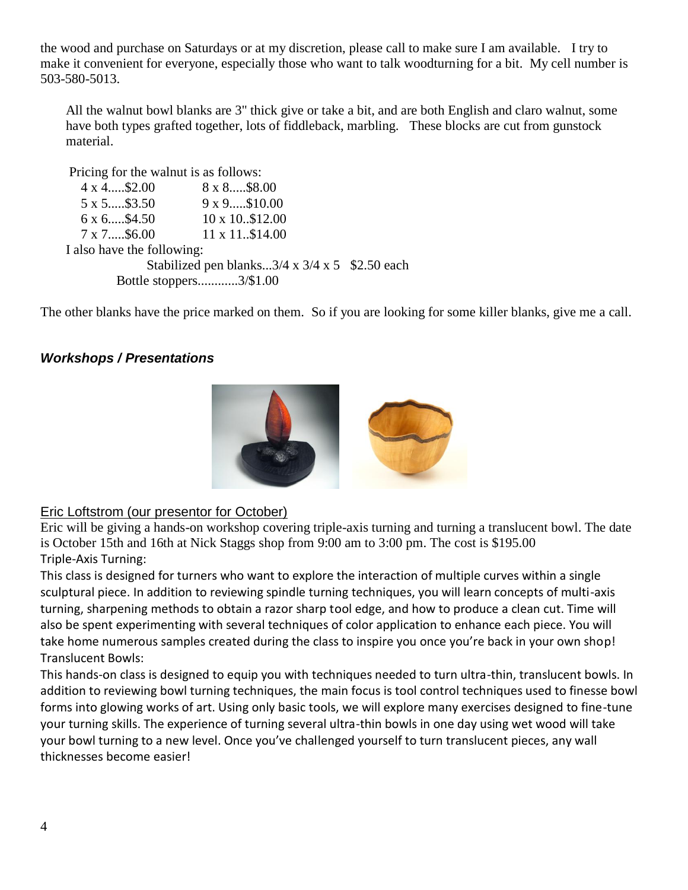the wood and purchase on Saturdays or at my discretion, please call to make sure I am available. I try to make it convenient for everyone, especially those who want to talk woodturning for a bit. My cell number is 503-580-5013.

All the walnut bowl blanks are 3" thick give or take a bit, and are both English and claro walnut, some have both types grafted together, lots of fiddleback, marbling. These blocks are cut from gunstock material.

```
Pricing for the walnut is as follows: 
   4 x 4.....$2.00 8 x 8.....$8.00
  5 x 5.....$3.50 9 x 9.....$10.00
  6 x 6.....$4.50 10 x 10..$12.00
  7 x 7.....$6.00 11 x 11..$14.00
I also have the following:
              Stabilized pen blanks...3/4 \times 3/4 \times 5 $2.50 each
         Bottle stoppers............3/$1.00
```
The other blanks have the price marked on them. So if you are looking for some killer blanks, give me a call.

#### *Workshops / Presentations*



#### Eric Loftstrom (our presentor for October)

Eric will be giving a hands-on workshop covering triple-axis turning and turning a translucent bowl. The date is October 15th and 16th at Nick Staggs shop from 9:00 am to 3:00 pm. The cost is \$195.00 Triple-Axis Turning:

This class is designed for turners who want to explore the interaction of multiple curves within a single sculptural piece. In addition to reviewing spindle turning techniques, you will learn concepts of multi-axis turning, sharpening methods to obtain a razor sharp tool edge, and how to produce a clean cut. Time will also be spent experimenting with several techniques of color application to enhance each piece. You will take home numerous samples created during the class to inspire you once you're back in your own shop! Translucent Bowls:

This hands-on class is designed to equip you with techniques needed to turn ultra-thin, translucent bowls. In addition to reviewing bowl turning techniques, the main focus is tool control techniques used to finesse bowl forms into glowing works of art. Using only basic tools, we will explore many exercises designed to fine-tune your turning skills. The experience of turning several ultra-thin bowls in one day using wet wood will take your bowl turning to a new level. Once you've challenged yourself to turn translucent pieces, any wall thicknesses become easier!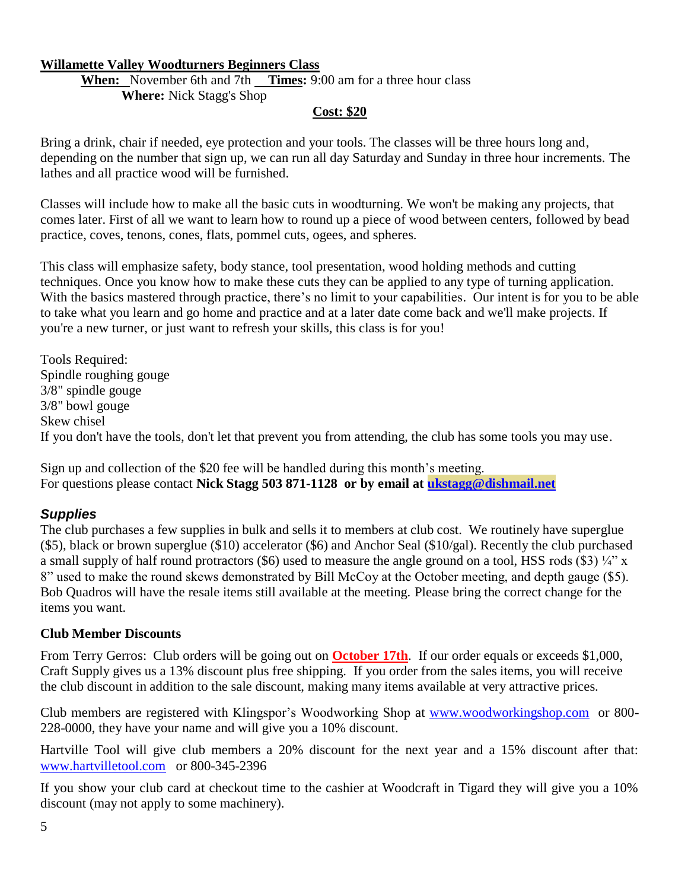#### **Willamette Valley Woodturners Beginners Class**

**When:** November 6th and 7th **Times:** 9:00 am for a three hour class **Where:** Nick Stagg's Shop

#### **Cost: \$20**

Bring a drink, chair if needed, eye protection and your tools. The classes will be three hours long and, depending on the number that sign up, we can run all day Saturday and Sunday in three hour increments. The lathes and all practice wood will be furnished.

Classes will include how to make all the basic cuts in woodturning. We won't be making any projects, that comes later. First of all we want to learn how to round up a piece of wood between centers, followed by bead practice, coves, tenons, cones, flats, pommel cuts, ogees, and spheres.

This class will emphasize safety, body stance, tool presentation, wood holding methods and cutting techniques. Once you know how to make these cuts they can be applied to any type of turning application. With the basics mastered through practice, there's no limit to your capabilities. Our intent is for you to be able to take what you learn and go home and practice and at a later date come back and we'll make projects. If you're a new turner, or just want to refresh your skills, this class is for you!

Tools Required: Spindle roughing gouge 3/8" spindle gouge 3/8" bowl gouge Skew chisel If you don't have the tools, don't let that prevent you from attending, the club has some tools you may use.

Sign up and collection of the \$20 fee will be handled during this month's meeting. For questions please contact **Nick Stagg 503 871-1128 or by email at [ukstagg@dishmail.net](mailto:ukstagg@dishmail.net)**

#### *Supplies*

The club purchases a few supplies in bulk and sells it to members at club cost. We routinely have superglue (\$5), black or brown superglue (\$10) accelerator (\$6) and Anchor Seal (\$10/gal). Recently the club purchased a small supply of half round protractors (\$6) used to measure the angle ground on a tool, HSS rods (\$3)  $\frac{1}{4}$ " x 8" used to make the round skews demonstrated by Bill McCoy at the October meeting, and depth gauge (\$5). Bob Quadros will have the resale items still available at the meeting. Please bring the correct change for the items you want.

#### **Club Member Discounts**

From Terry Gerros: Club orders will be going out on **October 17th**. If our order equals or exceeds \$1,000, Craft Supply gives us a 13% discount plus free shipping. If you order from the sales items, you will receive the club discount in addition to the sale discount, making many items available at very attractive prices.

Club members are registered with Klingspor's Woodworking Shop at [www.woodworkingshop.com](http://www.woodworkingshop.com/)or 800- 228-0000, they have your name and will give you a 10% discount.

Hartville Tool will give club members a 20% discount for the next year and a 15% discount after that: [www.hartvilletool.com](http://www.hartvilletool.com/)or 800-345-2396

If you show your club card at checkout time to the cashier at Woodcraft in Tigard they will give you a 10% discount (may not apply to some machinery).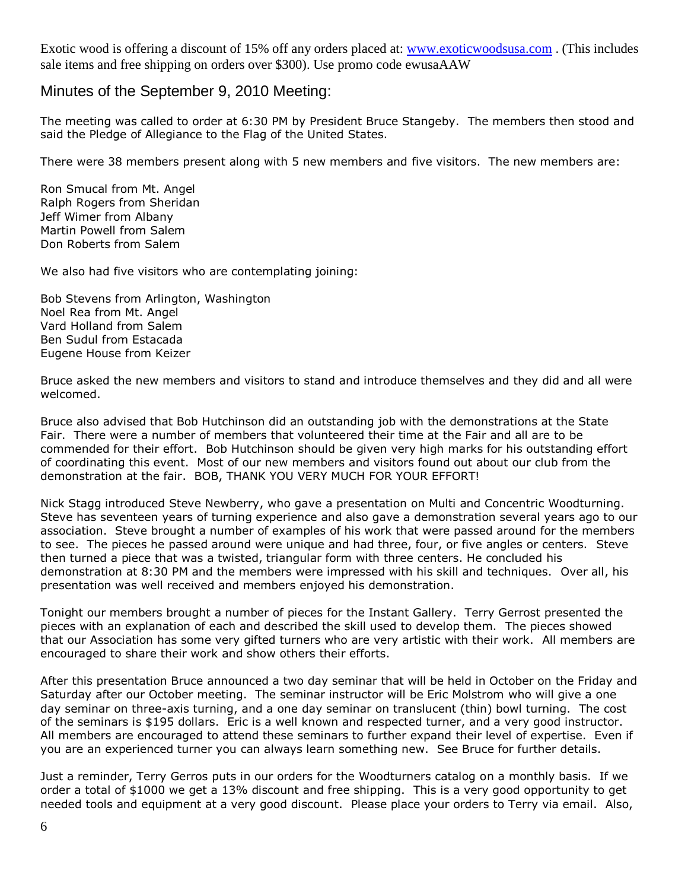Exotic wood is offering a discount of 15% off any orders placed at: [www.exoticwoodsusa.com](http://www.exoticwoodsusa.com/) . (This includes sale items and free shipping on orders over \$300). Use promo code ewusaAAW

#### Minutes of the September 9, 2010 Meeting:

The meeting was called to order at 6:30 PM by President Bruce Stangeby. The members then stood and said the Pledge of Allegiance to the Flag of the United States.

There were 38 members present along with 5 new members and five visitors. The new members are:

Ron Smucal from Mt. Angel Ralph Rogers from Sheridan Jeff Wimer from Albany Martin Powell from Salem Don Roberts from Salem

We also had five visitors who are contemplating joining:

Bob Stevens from Arlington, Washington Noel Rea from Mt. Angel Vard Holland from Salem Ben Sudul from Estacada Eugene House from Keizer

Bruce asked the new members and visitors to stand and introduce themselves and they did and all were welcomed.

Bruce also advised that Bob Hutchinson did an outstanding job with the demonstrations at the State Fair. There were a number of members that volunteered their time at the Fair and all are to be commended for their effort. Bob Hutchinson should be given very high marks for his outstanding effort of coordinating this event. Most of our new members and visitors found out about our club from the demonstration at the fair. BOB, THANK YOU VERY MUCH FOR YOUR EFFORT!

Nick Stagg introduced Steve Newberry, who gave a presentation on Multi and Concentric Woodturning. Steve has seventeen years of turning experience and also gave a demonstration several years ago to our association. Steve brought a number of examples of his work that were passed around for the members to see. The pieces he passed around were unique and had three, four, or five angles or centers. Steve then turned a piece that was a twisted, triangular form with three centers. He concluded his demonstration at 8:30 PM and the members were impressed with his skill and techniques. Over all, his presentation was well received and members enjoyed his demonstration.

Tonight our members brought a number of pieces for the Instant Gallery. Terry Gerrost presented the pieces with an explanation of each and described the skill used to develop them. The pieces showed that our Association has some very gifted turners who are very artistic with their work. All members are encouraged to share their work and show others their efforts.

After this presentation Bruce announced a two day seminar that will be held in October on the Friday and Saturday after our October meeting. The seminar instructor will be Eric Molstrom who will give a one day seminar on three-axis turning, and a one day seminar on translucent (thin) bowl turning. The cost of the seminars is \$195 dollars. Eric is a well known and respected turner, and a very good instructor. All members are encouraged to attend these seminars to further expand their level of expertise. Even if you are an experienced turner you can always learn something new. See Bruce for further details.

Just a reminder, Terry Gerros puts in our orders for the Woodturners catalog on a monthly basis. If we order a total of \$1000 we get a 13% discount and free shipping. This is a very good opportunity to get needed tools and equipment at a very good discount. Please place your orders to Terry via email. Also,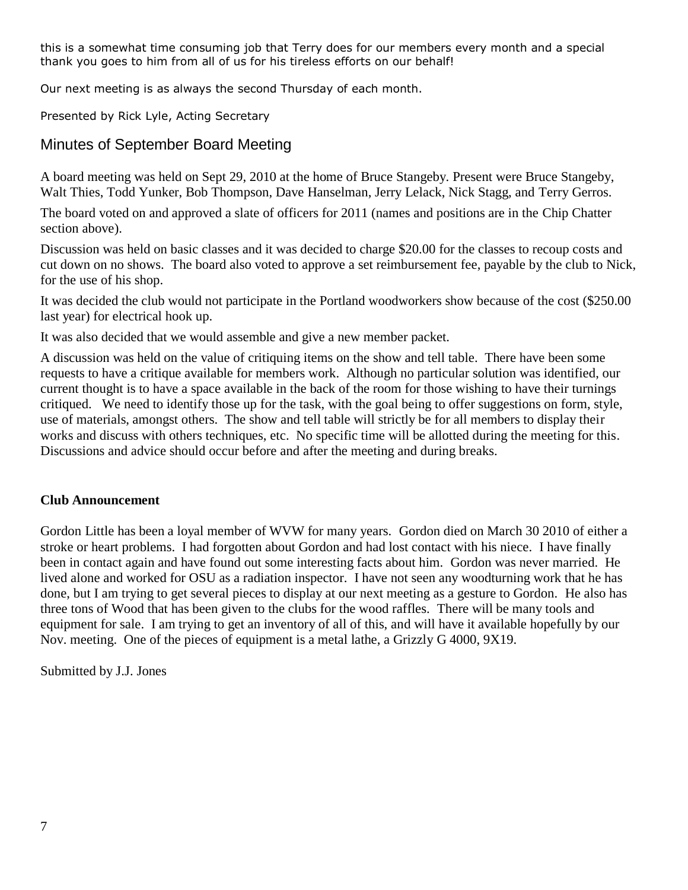this is a somewhat time consuming job that Terry does for our members every month and a special thank you goes to him from all of us for his tireless efforts on our behalf!

Our next meeting is as always the second Thursday of each month.

Presented by Rick Lyle, Acting Secretary

## Minutes of September Board Meeting

A board meeting was held on Sept 29, 2010 at the home of Bruce Stangeby. Present were Bruce Stangeby, Walt Thies, Todd Yunker, Bob Thompson, Dave Hanselman, Jerry Lelack, Nick Stagg, and Terry Gerros.

The board voted on and approved a slate of officers for 2011 (names and positions are in the Chip Chatter section above).

Discussion was held on basic classes and it was decided to charge \$20.00 for the classes to recoup costs and cut down on no shows. The board also voted to approve a set reimbursement fee, payable by the club to Nick, for the use of his shop.

It was decided the club would not participate in the Portland woodworkers show because of the cost (\$250.00 last year) for electrical hook up.

It was also decided that we would assemble and give a new member packet.

A discussion was held on the value of critiquing items on the show and tell table. There have been some requests to have a critique available for members work. Although no particular solution was identified, our current thought is to have a space available in the back of the room for those wishing to have their turnings critiqued. We need to identify those up for the task, with the goal being to offer suggestions on form, style, use of materials, amongst others. The show and tell table will strictly be for all members to display their works and discuss with others techniques, etc. No specific time will be allotted during the meeting for this. Discussions and advice should occur before and after the meeting and during breaks.

#### **Club Announcement**

Gordon Little has been a loyal member of WVW for many years. Gordon died on March 30 2010 of either a stroke or heart problems. I had forgotten about Gordon and had lost contact with his niece. I have finally been in contact again and have found out some interesting facts about him. Gordon was never married. He lived alone and worked for OSU as a radiation inspector. I have not seen any woodturning work that he has done, but I am trying to get several pieces to display at our next meeting as a gesture to Gordon. He also has three tons of Wood that has been given to the clubs for the wood raffles. There will be many tools and equipment for sale. I am trying to get an inventory of all of this, and will have it available hopefully by our Nov. meeting. One of the pieces of equipment is a metal lathe, a Grizzly G 4000, 9X19.

Submitted by J.J. Jones